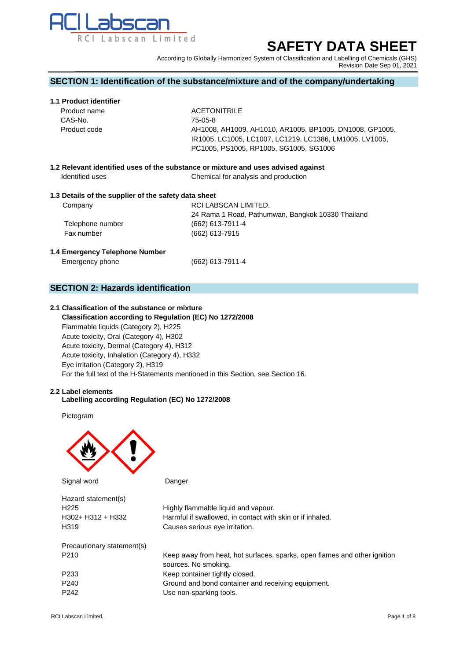

# **SAFETY DATA SHEET**

According to Globally Harmonized System of Classification and Labelling of Chemicals (GHS) Revision Date Sep 01, 2021

## **SECTION 1: Identification of the substance/mixture and of the company/undertaking**

## **1.1 Product identifier**

| <b>ACETONITRILE</b>                                     |
|---------------------------------------------------------|
| 75-05-8                                                 |
| AH1008, AH1009, AH1010, AR1005, BP1005, DN1008, GP1005, |
| IR1005, LC1005, LC1007, LC1219, LC1386, LM1005, LV1005, |
| PC1005, PS1005, RP1005, SG1005, SG1006                  |
|                                                         |

**1.2 Relevant identified uses of the substance or mixture and uses advised against Identified uses** Chemical for analysis and production

## **1.3 Details of the supplier of the safety data sheet**

| Company          | RCI LABSCAN LIMITED.                              |
|------------------|---------------------------------------------------|
|                  | 24 Rama 1 Road, Pathumwan, Bangkok 10330 Thailand |
| Telephone number | $(662)$ 613-7911-4                                |
| Fax number       | $(662)$ 613-7915                                  |
|                  |                                                   |

## **1.4 Emergency Telephone Number**

Emergency phone (662) 613-7911-4

**SECTION 2: Hazards identification**

#### **2.1 Classification of the substance or mixture**

 **Classification according to Regulation (EC) No 1272/2008** Flammable liquids (Category 2), H225 Acute toxicity, Oral (Category 4), H302 Acute toxicity, Dermal (Category 4), H312 Acute toxicity, Inhalation (Category 4), H332 Eye irritation (Category 2), H319 For the full text of the H-Statements mentioned in this Section, see Section 16.

#### **2.2 Label elements Labelling according Regulation (EC) No 1272/2008**

Pictogram



Signal word Danger

| Hazard statement(s)        |                                                                                                   |
|----------------------------|---------------------------------------------------------------------------------------------------|
| H <sub>225</sub>           | Highly flammable liquid and vapour.                                                               |
| $H302 + H312 + H332$       | Harmful if swallowed, in contact with skin or if inhaled.                                         |
| H <sub>3</sub> 19          | Causes serious eye irritation.                                                                    |
| Precautionary statement(s) |                                                                                                   |
| P <sub>210</sub>           | Keep away from heat, hot surfaces, sparks, open flames and other ignition<br>sources. No smoking. |
| P <sub>233</sub>           | Keep container tightly closed.                                                                    |
| P <sub>240</sub>           | Ground and bond container and receiving equipment.                                                |
| P <sub>242</sub>           | Use non-sparking tools.                                                                           |
|                            |                                                                                                   |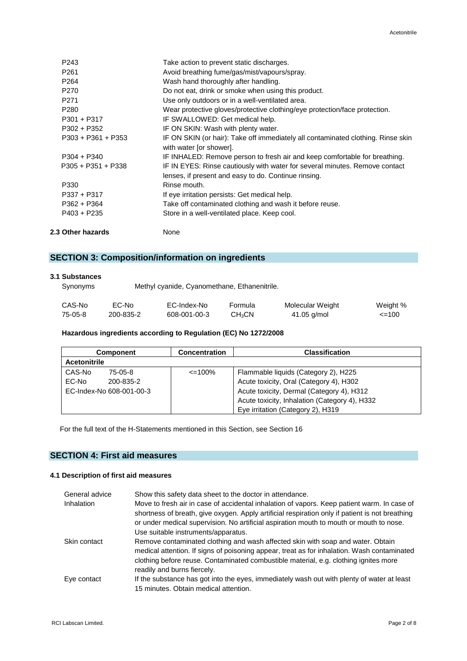| 2.3 Other hazards    | None                                                                                                        |
|----------------------|-------------------------------------------------------------------------------------------------------------|
| P403 + P235          | Store in a well-ventilated place. Keep cool.                                                                |
| P362 + P364          | Take off contaminated clothing and wash it before reuse.                                                    |
| P337 + P317          | If eye irritation persists: Get medical help.                                                               |
| P330                 | Rinse mouth.                                                                                                |
|                      | lenses, if present and easy to do. Continue rinsing.                                                        |
| $P305 + P351 + P338$ | IF IN EYES: Rinse cautiously with water for several minutes. Remove contact                                 |
| $P304 + P340$        | IF INHALED: Remove person to fresh air and keep comfortable for breathing.                                  |
| $P303 + P361 + P353$ | IF ON SKIN (or hair): Take off immediately all contaminated clothing. Rinse skin<br>with water [or shower]. |
| P302 + P352          | IF ON SKIN: Wash with plenty water.                                                                         |
| $P301 + P317$        | IF SWALLOWED: Get medical help.                                                                             |
| P <sub>280</sub>     | Wear protective gloves/protective clothing/eye protection/face protection.                                  |
|                      |                                                                                                             |
| P <sub>271</sub>     | Use only outdoors or in a well-ventilated area.                                                             |
| P <sub>270</sub>     | Do not eat, drink or smoke when using this product.                                                         |
| P <sub>264</sub>     | Wash hand thoroughly after handling.                                                                        |
| P <sub>261</sub>     | Avoid breathing fume/gas/mist/vapours/spray.                                                                |
| P243                 | Take action to prevent static discharges.                                                                   |

## **SECTION 3: Composition/information on ingredients**

## **3.1 Substances**

Synonyms Methyl cyanide, Cyanomethane, Ethanenitrile.

| CAS-No  | EC-No     | EC-Index-No  | Formula                 | Molecular Weight | Weight %   |
|---------|-----------|--------------|-------------------------|------------------|------------|
| 75-05-8 | 200-835-2 | 608-001-00-3 | <b>CH<sub>3</sub>CN</b> | $41.05$ g/mol    | $\leq$ 100 |

## **Hazardous ingredients according to Regulation (EC) No 1272/2008**

|                     | <b>Component</b>         | <b>Concentration</b> | <b>Classification</b>                         |
|---------------------|--------------------------|----------------------|-----------------------------------------------|
| <b>Acetonitrile</b> |                          |                      |                                               |
| CAS-No              | 75-05-8                  | $\leq$ 100%          | Flammable liquids (Category 2), H225          |
| EC-No               | 200-835-2                |                      | Acute toxicity, Oral (Category 4), H302       |
|                     | EC-Index-No 608-001-00-3 |                      | Acute toxicity, Dermal (Category 4), H312     |
|                     |                          |                      | Acute toxicity, Inhalation (Category 4), H332 |
|                     |                          |                      | Eye irritation (Category 2), H319             |

For the full text of the H-Statements mentioned in this Section, see Section 16

## **SECTION 4: First aid measures**

## **4.1 Description of first aid measures**

| General advice    | Show this safety data sheet to the doctor in attendance.                                                                                                                                       |
|-------------------|------------------------------------------------------------------------------------------------------------------------------------------------------------------------------------------------|
| <b>Inhalation</b> | Move to fresh air in case of accidental inhalation of vapors. Keep patient warm. In case of<br>shortness of breath, give oxygen. Apply artificial respiration only if patient is not breathing |
|                   | or under medical supervision. No artificial aspiration mouth to mouth or mouth to nose.                                                                                                        |
|                   | Use suitable instruments/apparatus.                                                                                                                                                            |
| Skin contact      | Remove contaminated clothing and wash affected skin with soap and water. Obtain                                                                                                                |
|                   | medical attention. If signs of poisoning appear, treat as for inhalation. Wash contaminated                                                                                                    |
|                   | clothing before reuse. Contaminated combustible material, e.g. clothing ignites more<br>readily and burns fiercely.                                                                            |
| Eye contact       | If the substance has got into the eyes, immediately wash out with plenty of water at least                                                                                                     |
|                   | 15 minutes. Obtain medical attention.                                                                                                                                                          |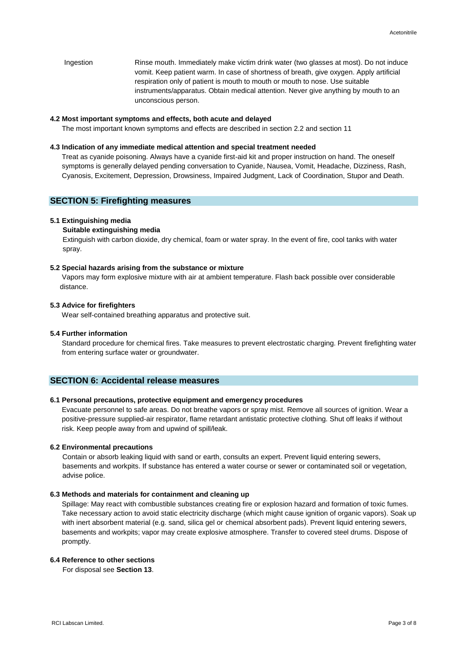Ingestion Rinse mouth. Immediately make victim drink water (two glasses at most). Do not induce vomit. Keep patient warm. In case of shortness of breath, give oxygen. Apply artificial respiration only of patient is mouth to mouth or mouth to nose. Use suitable instruments/apparatus. Obtain medical attention. Never give anything by mouth to an unconscious person.

#### **4.2 Most important symptoms and effects, both acute and delayed**

The most important known symptoms and effects are described in section 2.2 and section 11

#### **4.3 Indication of any immediate medical attention and special treatment needed**

 Treat as cyanide poisoning. Always have a cyanide first-aid kit and proper instruction on hand. The oneself symptoms is generally delayed pending conversation to Cyanide, Nausea, Vomit, Headache, Dizziness, Rash, Cyanosis, Excitement, Depression, Drowsiness, Impaired Judgment, Lack of Coordination, Stupor and Death.

### **SECTION 5: Firefighting measures**

#### **5.1 Extinguishing media**

#### **Suitable extinguishing media**

Extinguish with carbon dioxide, dry chemical, foam or water spray. In the event of fire, cool tanks with water spray.

#### **5.2 Special hazards arising from the substance or mixture**

 Vapors may form explosive mixture with air at ambient temperature. Flash back possible over considerable distance.

#### **5.3 Advice for firefighters**

Wear self-contained breathing apparatus and protective suit.

#### **5.4 Further information**

 Standard procedure for chemical fires. Take measures to prevent electrostatic charging. Prevent firefighting water from entering surface water or groundwater.

## **SECTION 6: Accidental release measures**

#### **6.1 Personal precautions, protective equipment and emergency procedures**

Evacuate personnel to safe areas. Do not breathe vapors or spray mist. Remove all sources of ignition. Wear a positive-pressure supplied-air respirator, flame retardant antistatic protective clothing. Shut off leaks if without risk. Keep people away from and upwind of spill/leak.

#### **6.2 Environmental precautions**

Contain or absorb leaking liquid with sand or earth, consults an expert. Prevent liquid entering sewers, basements and workpits. If substance has entered a water course or sewer or contaminated soil or vegetation, advise police.

#### **6.3 Methods and materials for containment and cleaning up**

Spillage: May react with combustible substances creating fire or explosion hazard and formation of toxic fumes. Take necessary action to avoid static electricity discharge (which might cause ignition of organic vapors). Soak up with inert absorbent material (e.g. sand, silica gel or chemical absorbent pads). Prevent liquid entering sewers, basements and workpits; vapor may create explosive atmosphere. Transfer to covered steel drums. Dispose of promptly.

#### **6.4 Reference to other sections**

For disposal see **Section 13**.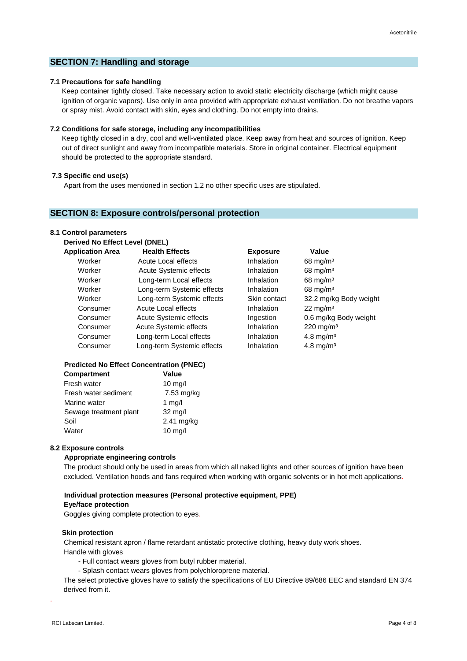## **SECTION 7: Handling and storage**

## **7.1 Precautions for safe handling**

 Keep container tightly closed. Take necessary action to avoid static electricity discharge (which might cause ignition of organic vapors). Use only in area provided with appropriate exhaust ventilation. Do not breathe vapors or spray mist. Avoid contact with skin, eyes and clothing. Do not empty into drains.

#### **7.2 Conditions for safe storage, including any incompatibilities**

Keep tightly closed in a dry, cool and well-ventilated place. Keep away from heat and sources of ignition. Keep out of direct sunlight and away from incompatible materials. Store in original container. Electrical equipment should be protected to the appropriate standard.

#### **7.3 Specific end use(s)**

Apart from the uses mentioned in section 1.2 no other specific uses are stipulated.

## **SECTION 8: Exposure controls/personal protection**

#### **8.1 Control parameters**

| Derived No Effect Level (DNEL) |  |            |  |
|--------------------------------|--|------------|--|
| Amelia atlant Anan             |  | Haakka Eff |  |

| <b>Application Area</b> | <b>Health Effects</b>         | <b>Exposure</b>   | Value                  |
|-------------------------|-------------------------------|-------------------|------------------------|
| Worker                  | Acute Local effects           | <b>Inhalation</b> | $68 \text{ mg/m}^3$    |
| Worker                  | Acute Systemic effects        | <b>Inhalation</b> | 68 mg/m <sup>3</sup>   |
| Worker                  | Long-term Local effects       | <b>Inhalation</b> | 68 mg/m <sup>3</sup>   |
| Worker                  | Long-term Systemic effects    | Inhalation        | $68 \text{ mg/m}^3$    |
| Worker                  | Long-term Systemic effects    | Skin contact      | 32.2 mg/kg Body weight |
| Consumer                | Acute Local effects           | Inhalation        | $22 \text{ mg/m}^3$    |
| Consumer                | <b>Acute Systemic effects</b> | Ingestion         | 0.6 mg/kg Body weight  |
| Consumer                | <b>Acute Systemic effects</b> | <b>Inhalation</b> | $220 \text{ mg/m}^3$   |
| Consumer                | Long-term Local effects       | Inhalation        | 4.8 mg/m <sup>3</sup>  |
| Consumer                | Long-term Systemic effects    | Inhalation        | 4.8 mg/m <sup>3</sup>  |
|                         |                               |                   |                        |

## **Predicted No Effect Concentration (PNEC)**

| Compartment            | Value             |
|------------------------|-------------------|
| Fresh water            | $10 \text{ mg/l}$ |
| Fresh water sediment   | 7.53 mg/kg        |
| Marine water           | 1 $mg/l$          |
| Sewage treatment plant | 32 mg/l           |
| Soil                   | 2.41 mg/kg        |
| Water                  | $10 \text{ mg/l}$ |

| шпаганоп     | יווושווו סס             |
|--------------|-------------------------|
| Skin contact | 32.2 mg/kg Body w       |
| Inhalation   | $22 \text{ mg/m}^3$     |
| Ingestion    | 0.6 mg/kg Body we       |
| Inhalation   | $220$ mg/m <sup>3</sup> |
| Inhalation   | $4.8$ mg/m <sup>3</sup> |
| Inhalation   | $4.8$ mg/m <sup>3</sup> |
|              |                         |
|              |                         |
|              |                         |

#### **8.2 Exposure controls**

#### **Appropriate engineering controls**

The product should only be used in areas from which all naked lights and other sources of ignition have been excluded. Ventilation hoods and fans required when working with organic solvents or in hot melt applications.

#### **Individual protection measures (Personal protective equipment, PPE)**

#### **Eye/face protection**

Goggles giving complete protection to eyes.

#### **Skin protection**

 Chemical resistant apron / flame retardant antistatic protective clothing, heavy duty work shoes. Handle with gloves

- Full contact wears gloves from butyl rubber material.
- Splash contact wears gloves from polychloroprene material.

The select protective gloves have to satisfy the specifications of EU Directive 89/686 EEC and standard EN 374 derived from it.

.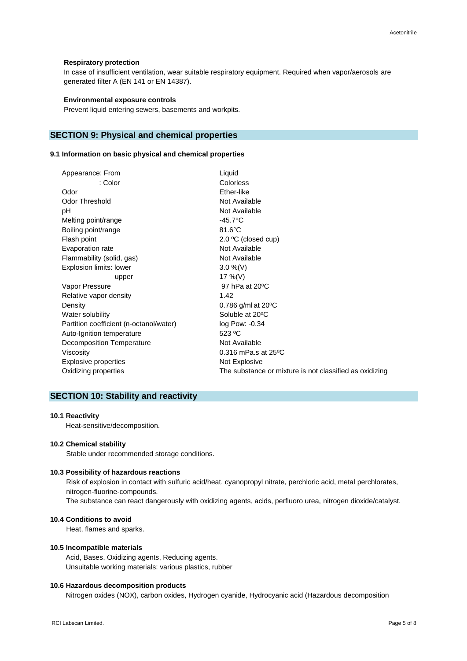#### **Respiratory protection**

In case of insufficient ventilation, wear suitable respiratory equipment. Required when vapor/aerosols are generated filter A (EN 141 or EN 14387).

#### **Environmental exposure controls**

Prevent liquid entering sewers, basements and workpits.

## **SECTION 9: Physical and chemical properties**

#### **9.1 Information on basic physical and chemical properties**

| Appearance: From                        | Liquid                                                  |
|-----------------------------------------|---------------------------------------------------------|
| : Color                                 | Colorless                                               |
| Odor                                    | Ether-like                                              |
| Odor Threshold                          | Not Available                                           |
| рH                                      | Not Available                                           |
| Melting point/range                     | $-45.7^{\circ}$ C                                       |
| Boiling point/range                     | $81.6^{\circ}$ C                                        |
| Flash point                             | $2.0 \degree C$ (closed cup)                            |
| Evaporation rate                        | Not Available                                           |
| Flammability (solid, gas)               | Not Available                                           |
| Explosion limits: lower                 | $3.0\%$ (V)                                             |
| upper                                   | 17 %(V)                                                 |
| Vapor Pressure                          | 97 hPa at 20 °C                                         |
| Relative vapor density                  | 1.42                                                    |
| Density                                 | 0.786 g/ml at $20^{\circ}$ C                            |
| Water solubility                        | Soluble at 20°C                                         |
| Partition coefficient (n-octanol/water) | log Pow: -0.34                                          |
| Auto-Ignition temperature               | 523 °C                                                  |
| Decomposition Temperature               | Not Available                                           |
| Viscosity                               | $0.316$ mPa.s at $25^{\circ}$ C                         |
| Explosive properties                    | Not Explosive                                           |
| Oxidizing properties                    | The substance or mixture is not classified as oxidizing |
|                                         |                                                         |

## **SECTION 10: Stability and reactivity**

#### **10.1 Reactivity**

Heat-sensitive/decomposition.

#### **10.2 Chemical stability**

Stable under recommended storage conditions.

#### **10.3 Possibility of hazardous reactions**

Risk of explosion in contact with sulfuric acid/heat, cyanopropyl nitrate, perchloric acid, metal perchlorates, nitrogen-fluorine-compounds.

The substance can react dangerously with oxidizing agents, acids, perfluoro urea, nitrogen dioxide/catalyst.

## **10.4 Conditions to avoid**

Heat, flames and sparks.

#### **10.5 Incompatible materials**

 Acid, Bases, Oxidizing agents, Reducing agents. Unsuitable working materials: various plastics, rubber

#### **10.6 Hazardous decomposition products**

Nitrogen oxides (NOX), carbon oxides, Hydrogen cyanide, Hydrocyanic acid (Hazardous decomposition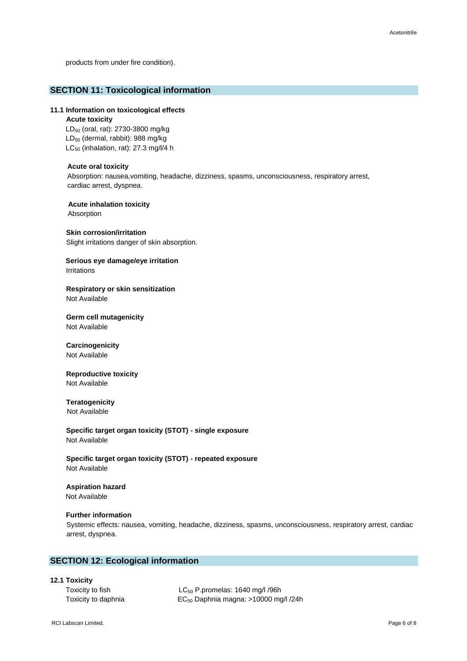products from under fire condition).

## **SECTION 11: Toxicological information**

#### **11.1 Information on toxicological effects**

#### **Acute toxicity**

LD<sub>50</sub> (oral, rat): 2730-3800 mg/kg LD<sub>50</sub> (dermal, rabbit): 988 mg/kg  $LC_{50}$  (inhalation, rat): 27.3 mg/l/4 h

#### **Acute oral toxicity**

Absorption: nausea,vomiting, headache, dizziness, spasms, unconsciousness, respiratory arrest, cardiac arrest, dyspnea.

**Acute inhalation toxicity**

## Absorption

## **Skin corrosion/irritation**

Slight irritations danger of skin absorption.

## **Serious eye damage/eye irritation** Irritations

#### **Respiratory or skin sensitization** Not Available

**Germ cell mutagenicity** Not Available

#### **Carcinogenicity** Not Available

#### **Reproductive toxicity** Not Available

## **Teratogenicity**

Not Available

**Specific target organ toxicity (STOT) - single exposure** Not Available

**Specific target organ toxicity (STOT) - repeated exposure** Not Available

## **Aspiration hazard**

Not Available

## **Further information**

 Systemic effects: nausea, vomiting, headache, dizziness, spasms, unconsciousness, respiratory arrest, cardiac arrest, dyspnea.

## **SECTION 12: Ecological information**

## **12.1 Toxicity**

Toxicity to fish  $LC_{50}$  P.promelas: 1640 mg/l /96h Toxicity to daphnia **EC<sub>50</sub>** Daphnia magna: >10000 mg/l /24h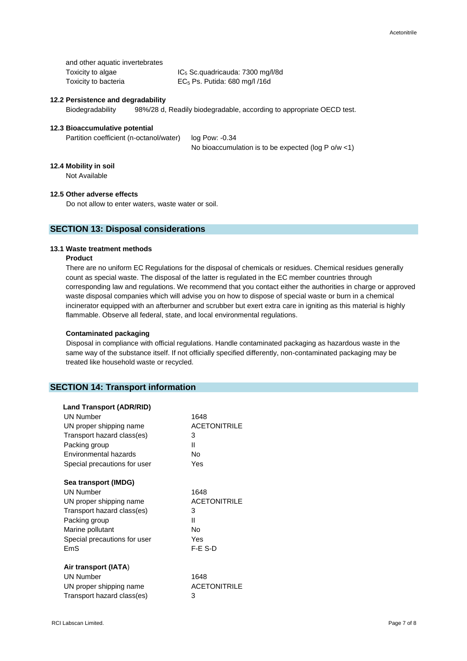| and other aquatic invertebrates |                                     |
|---------------------------------|-------------------------------------|
| Toxicity to algae               | $IC5$ Sc. quadricauda: 7300 mg/l/8d |
| Toxicity to bacteria            | $EC5$ Ps. Putida: 680 mg/l /16d     |

## **12.2 Persistence and degradability**

Biodegradability 98%/28 d, Readily biodegradable, according to appropriate OECD test.

## **12.3 Bioaccumulative potential**

Partition coefficient (n-octanol/water) log Pow: -0.34

No bioaccumulation is to be expected (log P o/w <1)

### **12.4 Mobility in soil**

Not Available

### **12.5 Other adverse effects**

Do not allow to enter waters, waste water or soil.

## **SECTION 13: Disposal considerations**

#### **13.1 Waste treatment methods**

#### **Product**

 There are no uniform EC Regulations for the disposal of chemicals or residues. Chemical residues generally count as special waste. The disposal of the latter is regulated in the EC member countries through corresponding law and regulations. We recommend that you contact either the authorities in charge or approved waste disposal companies which will advise you on how to dispose of special waste or burn in a chemical incinerator equipped with an afterburner and scrubber but exert extra care in igniting as this material is highly flammable. Observe all federal, state, and local environmental regulations.

#### **Contaminated packaging**

 Disposal in compliance with official regulations. Handle contaminated packaging as hazardous waste in the same way of the substance itself. If not officially specified differently, non-contaminated packaging may be treated like household waste or recycled.

## **SECTION 14: Transport information**

| <b>Land Transport (ADR/RID)</b> |                     |
|---------------------------------|---------------------|
| <b>UN Number</b>                | 1648                |
| UN proper shipping name         | <b>ACETONITRILE</b> |
| Transport hazard class(es)      | 3                   |
| Packing group                   | П                   |
| Environmental hazards           | N٥                  |
| Special precautions for user    | Yes                 |
| Sea transport (IMDG)            |                     |
| <b>UN Number</b>                | 1648                |
| UN proper shipping name         | <b>ACETONITRILE</b> |
| Transport hazard class(es)      | 3                   |
| Packing group                   | н                   |
| Marine pollutant                | No                  |
| Special precautions for user    | Yes                 |
| EmS                             | F-E S-D             |
| Air transport (IATA)            |                     |
| <b>UN Number</b>                | 1648                |
| UN proper shipping name         | <b>ACETONITRILE</b> |
| Transport hazard class(es)      | 3                   |
|                                 |                     |